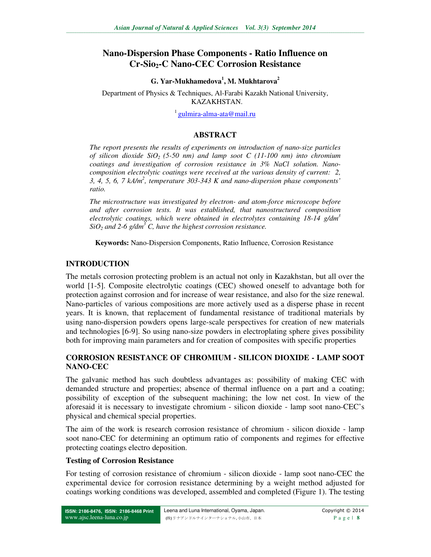# **Nano-Dispersion Phase Components - Ratio Influence on Cr-Sio2-C Nano-СЕС Corrosion Resistance**

**G. Yar-Mukhamedova<sup>1</sup> , M. Mukhtarova<sup>2</sup>**

Department of Physics & Techniques, Al-Farabi Kazakh National University, KAZAKHSTAN.

<sup>1</sup> gulmira-alma-ata@mail.ru

#### **ABSTRACT**

*The report presents the results of experiments on introduction of nano-size particles of silicon dioxide SiO2 (5-50 nm) and lamp soot C (11-100 nm) into chromium coatings and investigation of corrosion resistance in 3% NaCl solution. Nanocomposition electrolytic coatings were received at the various density of current: 2, 3, 4, 5, 6, 7 kА/m<sup>2</sup> , temperature 303-343 K and nano-dispersion phase components' ratio.* 

*The microstructure was investigated by electron- and atom-force microscope before and after corrosion tests. It was established, that nanostructured composition electrolytic coatings, which were obtained in electrolytes containing 18-14 g/dm<sup>3</sup>*  $SiO<sub>2</sub>$  and 2-6 g/dm<sup>3</sup> C, have the highest corrosion resistance.

**Keywords:** Nano-Dispersion Components, Ratio Influence, Corrosion Resistance

## **INTRODUCTION**

The metals corrosion protecting problem is an actual not only in Kazakhstan, but all over the world [1-5]. Composite electrolytic coatings (CEC) showed oneself to advantage both for protection against corrosion and for increase of wear resistance, and also for the size renewal. Nano-particles of various compositions are more actively used as a disperse phase in recent years. It is known, that replacement of fundamental resistance of traditional materials by using nano-dispersion powders opens large-scale perspectives for creation of new materials and technologies [6-9]. So using nano-size powders in electroplating sphere gives possibility both for improving main parameters and for creation of composites with specific properties

# **CORROSION RESISTANCE OF CHROMIUM - SILICON DIOXIDE - LAMP SOOT NANO-CEC**

The galvanic method has such doubtless advantages as: possibility of making CEC with demanded structure and properties; absence of thermal influence on a part and a coating; possibility of exception of the subsequent machining; the low net cost. In view of the aforesaid it is necessary to investigate chromium - silicon dioxide - lamp soot nano-CEC's physical and chemical special properties.

The aim of the work is research corrosion resistance of chromium - silicon dioxide - lamp soot nano-CEC for determining an optimum ratio of components and regimes for effective protecting coatings electro deposition.

#### **Testing of Corrosion Resistance**

For testing of corrosion resistance of chromium - silicon dioxide - lamp soot nano-CEC the experimental device for corrosion resistance determining by a weight method adjusted for coatings working conditions was developed, assembled and completed (Figure 1). The testing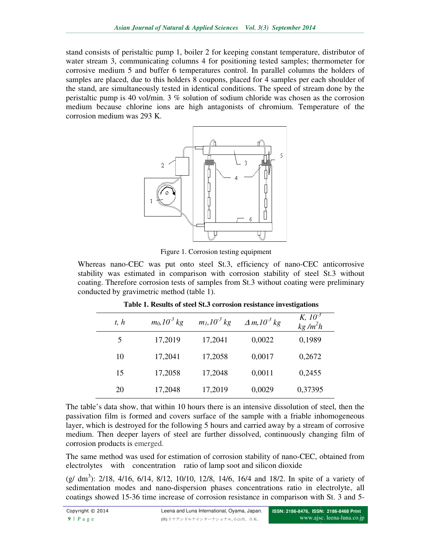stand consists of peristaltic pump 1, boiler 2 for keeping constant temperature, distributor of stand consists of peristaltic pump 1, boiler 2 for keeping constant temperature, distributor of water stream 3, communicating columns 4 for positioning tested samples; thermometer for corrosive medium 5 and buffer 6 temperatures control. In parallel columns the holders of samples are placed, due to this holders 8 coupons, placed for 4 samples per each shoulder of the stand, are simultaneously tested in identical conditions. The speed of stream done by the peristaltic pump is 40 vol/min. 3 % solution of sodium chloride was chosen as the corrosion medium because chlorine ions are high antagonists of chromium. Temperature of the corrosion medium was 293 K. 5 and buffer 6 temperatures control. In parallel columns the holders of , due to this holders 8 coupons, placed for 4 samples per each shoulder of Itaneously tested in identical conditions. The speed of stream done by the stand consists of peristaltic pump 1, boiler 2 for keeping constant temperature, distributor of<br>varter stecam 3, communicating columns 4 for positioning tested samples; thermometer for<br>corrosive medium 5 and buffer 6 tempe



Figure 1. Corrosion testing equipment

Whereas nano-CEC was put onto steel St.3, efficiency of nano-CEC stability was estimated in comparison with corrosion stability of steel St.3 without stability was estimated in comparison with corrosion stability of steel St.3 without coating. Therefore corrosion tests of samples from St.3 without coating were preliminary conducted by gravimetric method (table 1).

|                                                                                                                                                                                                                                                                                                                                                                                                       |      |                      |                      |                                                                   | $K, 10^{-3}$                                                                                                                                                                                                                                                                           |  |
|-------------------------------------------------------------------------------------------------------------------------------------------------------------------------------------------------------------------------------------------------------------------------------------------------------------------------------------------------------------------------------------------------------|------|----------------------|----------------------|-------------------------------------------------------------------|----------------------------------------------------------------------------------------------------------------------------------------------------------------------------------------------------------------------------------------------------------------------------------------|--|
|                                                                                                                                                                                                                                                                                                                                                                                                       | t, h | $m_0$ , $10^{-3}$ kg | $m_l$ , $10^{-3}$ kg | $\Delta m$ , $10^{-3}$ kg                                         | $kg/m^2h$                                                                                                                                                                                                                                                                              |  |
|                                                                                                                                                                                                                                                                                                                                                                                                       | 5    | 17,2019              | 17,2041              | 0,0022                                                            | 0,1989                                                                                                                                                                                                                                                                                 |  |
|                                                                                                                                                                                                                                                                                                                                                                                                       | 10   | 17,2041              | 17,2058              | 0,0017                                                            | 0,2672                                                                                                                                                                                                                                                                                 |  |
|                                                                                                                                                                                                                                                                                                                                                                                                       | 15   | 17,2058              | 17,2048              | 0,0011                                                            | 0,2455                                                                                                                                                                                                                                                                                 |  |
|                                                                                                                                                                                                                                                                                                                                                                                                       | 20   | 17,2048              | 17,2019              | 0,0029                                                            | 0,37395                                                                                                                                                                                                                                                                                |  |
| table's data show, that within 10 hours there is an intensive dissolution of steel, then the<br>ivation film is formed and covers surface of the sample with a friable inhomogeneous<br>which is destroyed for the following 5 hours and carried away by a stream of corrosive<br>ium. Then deeper layers of steel are further dissolved, continuously changing film of<br>osion products is emerged. |      |                      |                      |                                                                   |                                                                                                                                                                                                                                                                                        |  |
|                                                                                                                                                                                                                                                                                                                                                                                                       |      |                      |                      | rolytes with concentration ratio of lamp soot and silicon dioxide | same method was used for estimation of corrosion stability of nano-CEC, obtained from                                                                                                                                                                                                  |  |
|                                                                                                                                                                                                                                                                                                                                                                                                       |      |                      |                      |                                                                   | lm <sup>3</sup> ): 2/18, 4/16, 6/14, 8/12, 10/10, 12/8, 14/6, 16/4 and 18/2. In spite of a variety of<br>mentation modes and nano-dispersion phases concentrations ratio in electrolyte, all<br>ngs showed 15-36 time increase of corrosion resistance in comparison with St. 3 and 5- |  |

**Table 1. Results of steel St.3 corrosion resistance investigations**

The table's data show, that within 10 hours there is an intensive dissolution of steel, then the passivation film is formed and covers surface of the sample with a friable inhomogeneous layer, which is destroyed for the following 5 hours and carried away by a stream of corrosive medium. Then deeper layers of steel are further dissolved, continuously changing film of corrosion products is emerged. e's data show, that within 10 hours there is an intensive dissolution of steel, then the<br>ion film is formed and covers surface of the sample with a friable inhomogeneous<br>hich is destroyed for the following 5 hours and carr

The same method was used for estimation of corrosion stability of nano-CEC, obtained from electrolytes with concentration ratio of lamp soot and silicon dioxide

 $(g/dm^3)$ : 2/18, 4/16, 6/14, 8/12, 10/10, 12/8, 14/6, 16/4 and 18/2. In spite of a variety of sedimentation modes and nano-dispersion phases concentrations ratio in electrolyte, all coatings showed 15-36 time increase of corrosion resistance in comparison with St. 3 and 5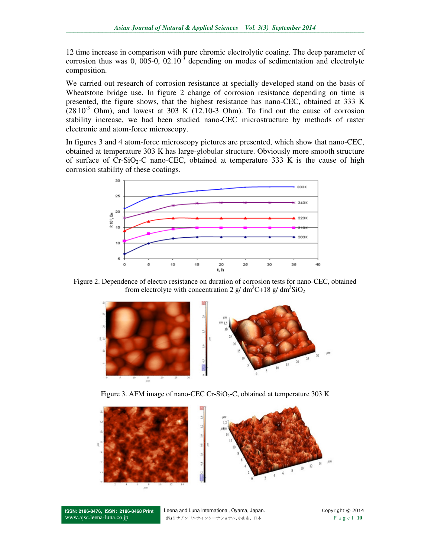12 time increase in comparison with pure chromic electrolytic coating. The deep parameter of corrosion thus was 0, 005-0,  $02.10^{-3}$  depending on modes of sedimentation and electrolyte composition.

We carried out research of corrosion resistance at specially developed stand on the basis of Wheatstone bridge use. In figure 2 change of corrosion resistance depending on time is presented, the figure shows, that the highest resistance has nano-CEC, obtained at 333 K  $(28.10^{-3}$  Ohm), and lowest at 303 K (12.10-3 Ohm). To find out the cause of corrosion stability increase, we had been studied nano-CEC microstructure by methods of raster electronic and atom-force microscopy.

In figures 3 and 4 atom-force microscopy pictures are presented, which show that nano-CEC, obtained at temperature 303 K has large-globular structure. Obviously more smooth structure of surface of  $Cr-SiO_2-C$  nano-CEC, obtained at temperature 333 K is the cause of high corrosion stability of these coatings.



Figure 2. Dependence of electro resistance on duration of corrosion tests for nano-CEC, obtained from electrolyte with concentration 2 g/ dm<sup>3</sup>C+18 g/ dm<sup>3</sup>SiO<sub>2</sub>



Figure 3. AFM image of nano-CEC Cr-SiO<sub>2</sub>-C, obtained at temperature 303 K